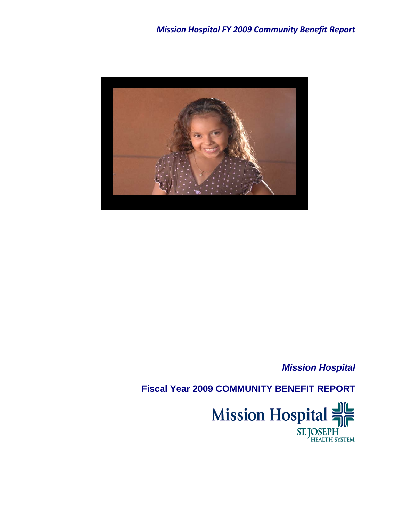

*Mission Hospital* 

**Fiscal Year 2009 COMMUNITY BENEFIT REPORT** 

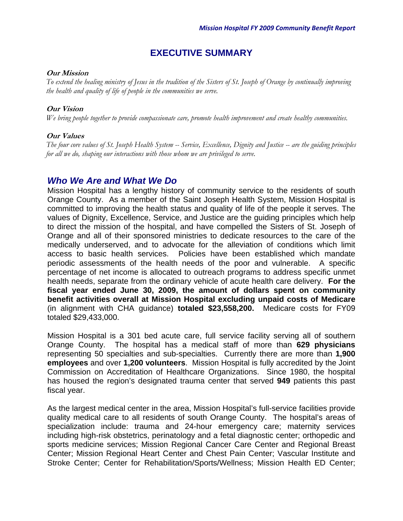## **EXECUTIVE SUMMARY**

#### **Our Mission**

*To extend the healing ministry of Jesus in the tradition of the Sisters of St. Joseph of Orange by continually improving the health and quality of life of people in the communities we serve.* 

#### **Our Vision**

*We bring people together to provide compassionate care, promote health improvement and create healthy communities.* 

#### **Our Values**

*The four core values of St. Joseph Health System -- Service, Excellence, Dignity and Justice -- are the guiding principles for all we do, shaping our interactions with those whom we are privileged to serve.* 

## *Who We Are and What We Do*

Mission Hospital has a lengthy history of community service to the residents of south Orange County. As a member of the Saint Joseph Health System, Mission Hospital is committed to improving the health status and quality of life of the people it serves. The values of Dignity, Excellence, Service, and Justice are the guiding principles which help to direct the mission of the hospital, and have compelled the Sisters of St. Joseph of Orange and all of their sponsored ministries to dedicate resources to the care of the medically underserved, and to advocate for the alleviation of conditions which limit access to basic health services. Policies have been established which mandate periodic assessments of the health needs of the poor and vulnerable. A specific percentage of net income is allocated to outreach programs to address specific unmet health needs, separate from the ordinary vehicle of acute health care delivery. **For the fiscal year ended June 30, 2009, the amount of dollars spent on community benefit activities overall at Mission Hospital excluding unpaid costs of Medicare**  (in alignment with CHA guidance) **totaled \$23,558,200.** Medicare costs for FY09 totaled \$29,433,000.

Mission Hospital is a 301 bed acute care, full service facility serving all of southern Orange County. The hospital has a medical staff of more than **629 physicians** representing 50 specialties and sub-specialties. Currently there are more than **1,900 employees** and over **1,200 volunteers**. Mission Hospital is fully accredited by the Joint Commission on Accreditation of Healthcare Organizations. Since 1980, the hospital has housed the region's designated trauma center that served **949** patients this past fiscal year.

As the largest medical center in the area, Mission Hospital's full-service facilities provide quality medical care to all residents of south Orange County. The hospital's areas of specialization include: trauma and 24-hour emergency care; maternity services including high-risk obstetrics, perinatology and a fetal diagnostic center; orthopedic and sports medicine services; Mission Regional Cancer Care Center and Regional Breast Center; Mission Regional Heart Center and Chest Pain Center; Vascular Institute and Stroke Center; Center for Rehabilitation/Sports/Wellness; Mission Health ED Center;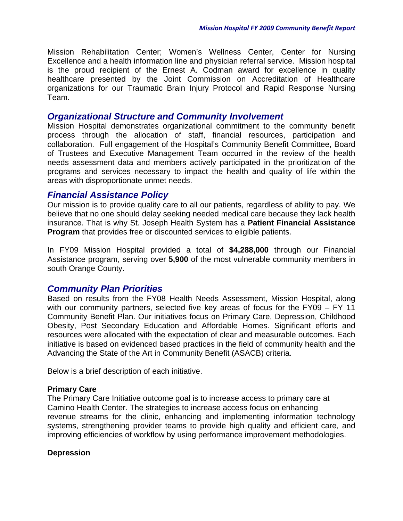Mission Rehabilitation Center; Women's Wellness Center, Center for Nursing Excellence and a health information line and physician referral service. Mission hospital is the proud recipient of the Ernest A. Codman award for excellence in quality healthcare presented by the Joint Commission on Accreditation of Healthcare organizations for our Traumatic Brain Injury Protocol and Rapid Response Nursing Team.

## *Organizational Structure and Community Involvement*

Mission Hospital demonstrates organizational commitment to the community benefit process through the allocation of staff, financial resources, participation and collaboration. Full engagement of the Hospital's Community Benefit Committee, Board of Trustees and Executive Management Team occurred in the review of the health needs assessment data and members actively participated in the prioritization of the programs and services necessary to impact the health and quality of life within the areas with disproportionate unmet needs.

## *Financial Assistance Policy*

Our mission is to provide quality care to all our patients, regardless of ability to pay. We believe that no one should delay seeking needed medical care because they lack health insurance. That is why St. Joseph Health System has a **Patient Financial Assistance Program** that provides free or discounted services to eligible patients.

In FY09 Mission Hospital provided a total of **\$4,288,000** through our Financial Assistance program, serving over **5,900** of the most vulnerable community members in south Orange County.

## *Community Plan Priorities*

Based on results from the FY08 Health Needs Assessment, Mission Hospital, along with our community partners, selected five key areas of focus for the FY09 – FY 11 Community Benefit Plan. Our initiatives focus on Primary Care, Depression, Childhood Obesity, Post Secondary Education and Affordable Homes. Significant efforts and resources were allocated with the expectation of clear and measurable outcomes. Each initiative is based on evidenced based practices in the field of community health and the Advancing the State of the Art in Community Benefit (ASACB) criteria.

Below is a brief description of each initiative.

#### **Primary Care**

The Primary Care Initiative outcome goal is to increase access to primary care at Camino Health Center. The strategies to increase access focus on enhancing revenue streams for the clinic, enhancing and implementing information technology systems, strengthening provider teams to provide high quality and efficient care, and improving efficiencies of workflow by using performance improvement methodologies.

#### **Depression**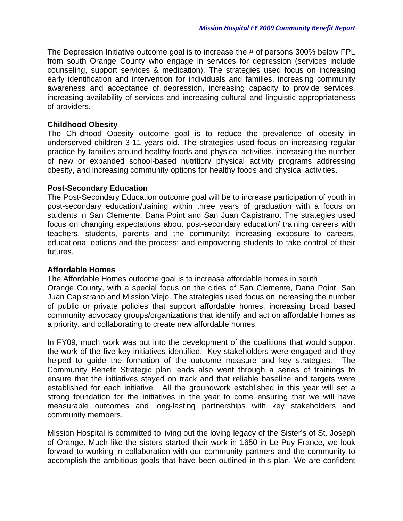The Depression Initiative outcome goal is to increase the # of persons 300% below FPL from south Orange County who engage in services for depression (services include counseling, support services & medication). The strategies used focus on increasing early identification and intervention for individuals and families, increasing community awareness and acceptance of depression, increasing capacity to provide services, increasing availability of services and increasing cultural and linguistic appropriateness of providers.

#### **Childhood Obesity**

The Childhood Obesity outcome goal is to reduce the prevalence of obesity in underserved children 3-11 years old. The strategies used focus on increasing regular practice by families around healthy foods and physical activities, increasing the number of new or expanded school-based nutrition/ physical activity programs addressing obesity, and increasing community options for healthy foods and physical activities.

#### **Post-Secondary Education**

The Post-Secondary Education outcome goal will be to increase participation of youth in post-secondary education/training within three years of graduation with a focus on students in San Clemente, Dana Point and San Juan Capistrano. The strategies used focus on changing expectations about post-secondary education/ training careers with teachers, students, parents and the community; increasing exposure to careers, educational options and the process; and empowering students to take control of their futures.

## **Affordable Homes**

The Affordable Homes outcome goal is to increase affordable homes in south Orange County, with a special focus on the cities of San Clemente, Dana Point, San Juan Capistrano and Mission Viejo. The strategies used focus on increasing the number of public or private policies that support affordable homes, increasing broad based community advocacy groups/organizations that identify and act on affordable homes as a priority, and collaborating to create new affordable homes.

In FY09, much work was put into the development of the coalitions that would support the work of the five key initiatives identified. Key stakeholders were engaged and they helped to guide the formation of the outcome measure and key strategies. The Community Benefit Strategic plan leads also went through a series of trainings to ensure that the initiatives stayed on track and that reliable baseline and targets were established for each initiative. All the groundwork established in this year will set a strong foundation for the initiatives in the year to come ensuring that we will have measurable outcomes and long-lasting partnerships with key stakeholders and community members.

Mission Hospital is committed to living out the loving legacy of the Sister's of St. Joseph of Orange. Much like the sisters started their work in 1650 in Le Puy France, we look forward to working in collaboration with our community partners and the community to accomplish the ambitious goals that have been outlined in this plan. We are confident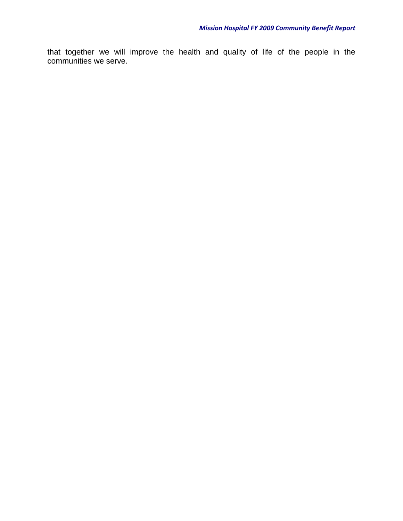that together we will improve the health and quality of life of the people in the communities we serve.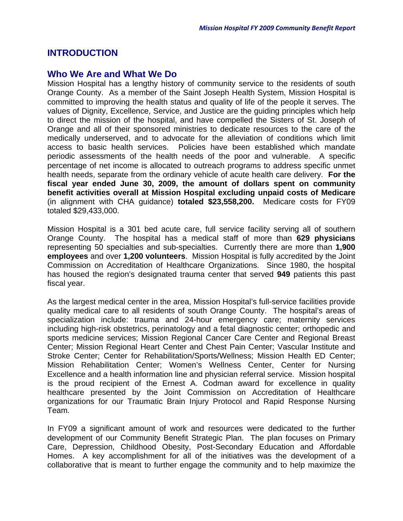## **INTRODUCTION**

## **Who We Are and What We Do**

Mission Hospital has a lengthy history of community service to the residents of south Orange County. As a member of the Saint Joseph Health System, Mission Hospital is committed to improving the health status and quality of life of the people it serves. The values of Dignity, Excellence, Service, and Justice are the guiding principles which help to direct the mission of the hospital, and have compelled the Sisters of St. Joseph of Orange and all of their sponsored ministries to dedicate resources to the care of the medically underserved, and to advocate for the alleviation of conditions which limit access to basic health services. Policies have been established which mandate periodic assessments of the health needs of the poor and vulnerable. A specific percentage of net income is allocated to outreach programs to address specific unmet health needs, separate from the ordinary vehicle of acute health care delivery. **For the fiscal year ended June 30, 2009, the amount of dollars spent on community benefit activities overall at Mission Hospital excluding unpaid costs of Medicare**  (in alignment with CHA guidance) **totaled \$23,558,200.** Medicare costs for FY09 totaled \$29,433,000.

Mission Hospital is a 301 bed acute care, full service facility serving all of southern Orange County. The hospital has a medical staff of more than **629 physicians** representing 50 specialties and sub-specialties. Currently there are more than **1,900 employees** and over **1,200 volunteers**. Mission Hospital is fully accredited by the Joint Commission on Accreditation of Healthcare Organizations. Since 1980, the hospital has housed the region's designated trauma center that served **949** patients this past fiscal year.

As the largest medical center in the area, Mission Hospital's full-service facilities provide quality medical care to all residents of south Orange County. The hospital's areas of specialization include: trauma and 24-hour emergency care; maternity services including high-risk obstetrics, perinatology and a fetal diagnostic center; orthopedic and sports medicine services; Mission Regional Cancer Care Center and Regional Breast Center; Mission Regional Heart Center and Chest Pain Center; Vascular Institute and Stroke Center; Center for Rehabilitation/Sports/Wellness; Mission Health ED Center; Mission Rehabilitation Center; Women's Wellness Center, Center for Nursing Excellence and a health information line and physician referral service. Mission hospital is the proud recipient of the Ernest A. Codman award for excellence in quality healthcare presented by the Joint Commission on Accreditation of Healthcare organizations for our Traumatic Brain Injury Protocol and Rapid Response Nursing Team.

In FY09 a significant amount of work and resources were dedicated to the further development of our Community Benefit Strategic Plan. The plan focuses on Primary Care, Depression, Childhood Obesity, Post-Secondary Education and Affordable Homes. A key accomplishment for all of the initiatives was the development of a collaborative that is meant to further engage the community and to help maximize the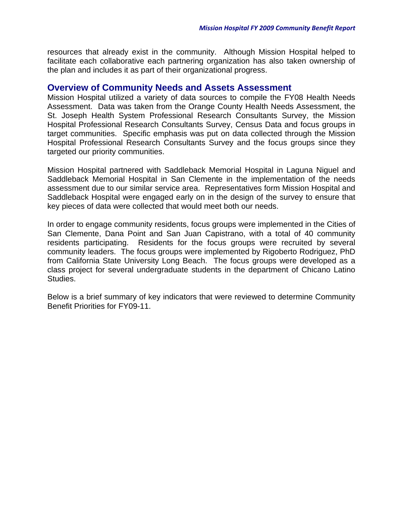resources that already exist in the community. Although Mission Hospital helped to facilitate each collaborative each partnering organization has also taken ownership of the plan and includes it as part of their organizational progress.

#### **Overview of Community Needs and Assets Assessment**

Mission Hospital utilized a variety of data sources to compile the FY08 Health Needs Assessment. Data was taken from the Orange County Health Needs Assessment, the St. Joseph Health System Professional Research Consultants Survey, the Mission Hospital Professional Research Consultants Survey, Census Data and focus groups in target communities. Specific emphasis was put on data collected through the Mission Hospital Professional Research Consultants Survey and the focus groups since they targeted our priority communities.

Mission Hospital partnered with Saddleback Memorial Hospital in Laguna Niguel and Saddleback Memorial Hospital in San Clemente in the implementation of the needs assessment due to our similar service area. Representatives form Mission Hospital and Saddleback Hospital were engaged early on in the design of the survey to ensure that key pieces of data were collected that would meet both our needs.

In order to engage community residents, focus groups were implemented in the Cities of San Clemente, Dana Point and San Juan Capistrano, with a total of 40 community residents participating. Residents for the focus groups were recruited by several community leaders. The focus groups were implemented by Rigoberto Rodriguez, PhD from California State University Long Beach. The focus groups were developed as a class project for several undergraduate students in the department of Chicano Latino Studies.

Below is a brief summary of key indicators that were reviewed to determine Community Benefit Priorities for FY09-11.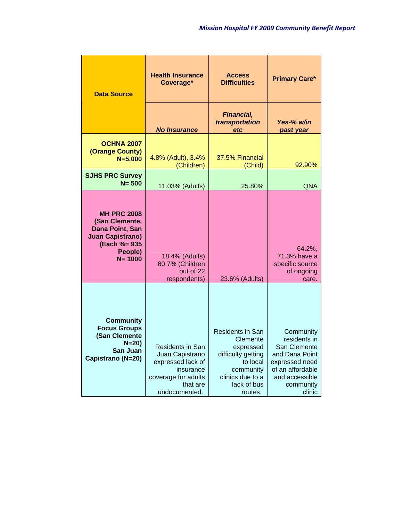| <b>Data Source</b>                                                                                                          | <b>Health Insurance</b><br>Coverage*                                                                                             | <b>Access</b><br><b>Difficulties</b>                                                                                                   | <b>Primary Care*</b>                                                                                                                       |
|-----------------------------------------------------------------------------------------------------------------------------|----------------------------------------------------------------------------------------------------------------------------------|----------------------------------------------------------------------------------------------------------------------------------------|--------------------------------------------------------------------------------------------------------------------------------------------|
|                                                                                                                             | <b>No Insurance</b>                                                                                                              | <b>Financial,</b><br>transportation<br>etc                                                                                             | Yes-% w/in<br>past year                                                                                                                    |
| OCHNA 2007<br>(Orange County)<br>$N = 5,000$                                                                                | 4.8% (Adult), 3.4%<br>(Children)                                                                                                 | 37.5% Financial<br>(Child)                                                                                                             | 92.90%                                                                                                                                     |
| <b>SJHS PRC Survey</b><br>$N = 500$                                                                                         | 11.03% (Adults)                                                                                                                  | 25.80%                                                                                                                                 | <b>QNA</b>                                                                                                                                 |
| <b>MH PRC 2008</b><br>(San Clemente,<br>Dana Point, San<br><b>Juan Capistrano)</b><br>(Each %= 935<br>People)<br>$N = 1000$ | 18.4% (Adults)<br>80.7% (Children<br>out of 22<br>respondents)                                                                   | 23.6% (Adults)                                                                                                                         | 64.2%,<br>71.3% have a<br>specific source<br>of ongoing<br>care.                                                                           |
| <b>Community</b><br><b>Focus Groups</b><br>(San Clemente<br>$N = 20$<br>San Juan<br>Capistrano (N=20)                       | <b>Residents in San</b><br>Juan Capistrano<br>expressed lack of<br>insurance<br>coverage for adults<br>that are<br>undocumented. | Residents in San<br>Clemente<br>expressed<br>difficulty getting<br>to local<br>community<br>clinics due to a<br>lack of bus<br>routes. | Community<br>residents in<br>San Clemente<br>and Dana Point<br>expressed need<br>of an affordable<br>and accessible<br>community<br>clinic |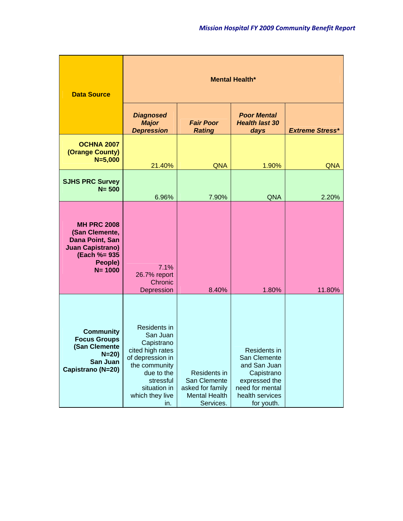| <b>Data Source</b>                                                                                                          | <b>Mental Health*</b>                                                                                                                                                |                                                                                              |                                                                                                                                 |                        |
|-----------------------------------------------------------------------------------------------------------------------------|----------------------------------------------------------------------------------------------------------------------------------------------------------------------|----------------------------------------------------------------------------------------------|---------------------------------------------------------------------------------------------------------------------------------|------------------------|
|                                                                                                                             | <b>Diagnosed</b><br><b>Major</b><br><b>Depression</b>                                                                                                                | <b>Fair Poor</b><br><b>Rating</b>                                                            | <b>Poor Mental</b><br><b>Health last 30</b><br>days                                                                             | <b>Extreme Stress*</b> |
| <b>OCHNA 2007</b><br>(Orange County)<br>$N = 5,000$                                                                         | 21.40%                                                                                                                                                               | <b>QNA</b>                                                                                   | 1.90%                                                                                                                           | <b>QNA</b>             |
| <b>SJHS PRC Survey</b><br>$N = 500$                                                                                         | 6.96%                                                                                                                                                                | 7.90%                                                                                        | <b>QNA</b>                                                                                                                      | 2.20%                  |
| <b>MH PRC 2008</b><br>(San Clemente,<br>Dana Point, San<br><b>Juan Capistrano)</b><br>(Each %= 935<br>People)<br>$N = 1000$ | 7.1%<br>26.7% report<br>Chronic<br>Depression                                                                                                                        | 8.40%                                                                                        | 1.80%                                                                                                                           | 11.80%                 |
| <b>Community</b><br><b>Focus Groups</b><br>(San Clemente<br>$N = 20$<br>San Juan<br>Capistrano (N=20)                       | Residents in<br>San Juan<br>Capistrano<br>cited high rates<br>of depression in<br>the community<br>due to the<br>stressful<br>situation in<br>which they live<br>in. | <b>Residents in</b><br>San Clemente<br>asked for family<br><b>Mental Health</b><br>Services. | Residents in<br>San Clemente<br>and San Juan<br>Capistrano<br>expressed the<br>need for mental<br>health services<br>for youth. |                        |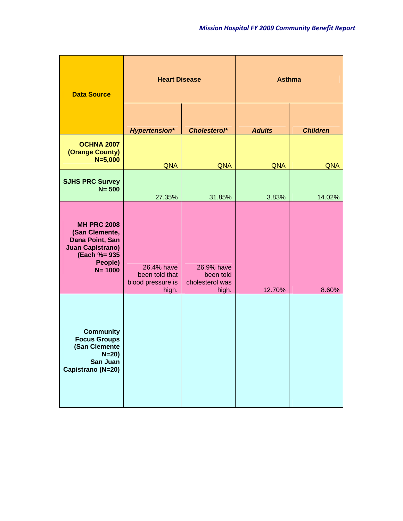| <b>Data Source</b>                                                                                                          | <b>Heart Disease</b>                                       |                                                     | <b>Asthma</b> |                 |  |
|-----------------------------------------------------------------------------------------------------------------------------|------------------------------------------------------------|-----------------------------------------------------|---------------|-----------------|--|
|                                                                                                                             | <b>Hypertension*</b>                                       | Cholesterol*                                        | <b>Adults</b> | <b>Children</b> |  |
| <b>OCHNA 2007</b><br>(Orange County)<br>$N=5,000$                                                                           | <b>QNA</b>                                                 | <b>QNA</b>                                          | <b>QNA</b>    | <b>QNA</b>      |  |
| <b>SJHS PRC Survey</b><br>$N = 500$                                                                                         | 27.35%                                                     | 31.85%                                              | 3.83%         | 14.02%          |  |
| <b>MH PRC 2008</b><br>(San Clemente,<br>Dana Point, San<br><b>Juan Capistrano)</b><br>(Each %= 935<br>People)<br>$N = 1000$ | 26.4% have<br>been told that<br>blood pressure is<br>high. | 26.9% have<br>been told<br>cholesterol was<br>high. | 12.70%        | 8.60%           |  |
| <b>Community</b><br><b>Focus Groups</b><br>(San Clemente<br>$N = 20$<br>San Juan<br>Capistrano (N=20)                       |                                                            |                                                     |               |                 |  |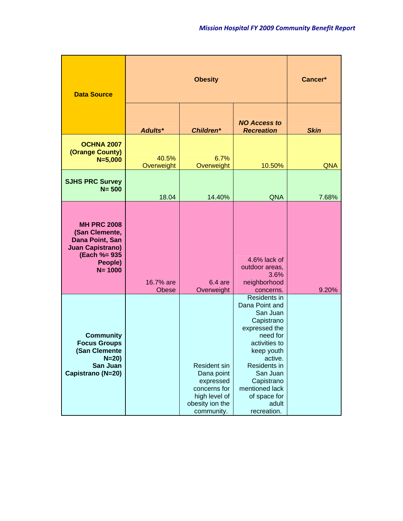| <b>Data Source</b>                                                                                                          |                     | Cancer*                                                                                                          |                                                                                                                                                                                                                                     |             |
|-----------------------------------------------------------------------------------------------------------------------------|---------------------|------------------------------------------------------------------------------------------------------------------|-------------------------------------------------------------------------------------------------------------------------------------------------------------------------------------------------------------------------------------|-------------|
|                                                                                                                             | Adults*             | <b>Children*</b>                                                                                                 | <b>NO Access to</b><br><b>Recreation</b>                                                                                                                                                                                            | <b>Skin</b> |
| <b>OCHNA 2007</b><br>(Orange County)<br>$N = 5,000$                                                                         | 40.5%<br>Overweight | 6.7%<br>Overweight                                                                                               | 10.50%                                                                                                                                                                                                                              | <b>QNA</b>  |
| <b>SJHS PRC Survey</b><br>$N = 500$                                                                                         | 18.04               | 14.40%                                                                                                           | <b>QNA</b>                                                                                                                                                                                                                          | 7.68%       |
| <b>MH PRC 2008</b><br>(San Clemente,<br>Dana Point, San<br><b>Juan Capistrano)</b><br>(Each %= 935<br>People)<br>$N = 1000$ | 16.7% are<br>Obese  | $6.4$ are<br>Overweight                                                                                          | 4.6% lack of<br>outdoor areas,<br>3.6%<br>neighborhood<br>concerns.                                                                                                                                                                 | 9.20%       |
| <b>Community</b><br><b>Focus Groups</b><br>(San Clemente<br>$N = 20$<br>San Juan<br>Capistrano (N=20)                       |                     | <b>Resident sin</b><br>Dana point<br>expressed<br>concerns for<br>high level of<br>obesity ion the<br>community. | Residents in<br>Dana Point and<br>San Juan<br>Capistrano<br>expressed the<br>need for<br>activities to<br>keep youth<br>active.<br>Residents in<br>San Juan<br>Capistrano<br>mentioned lack<br>of space for<br>adult<br>recreation. |             |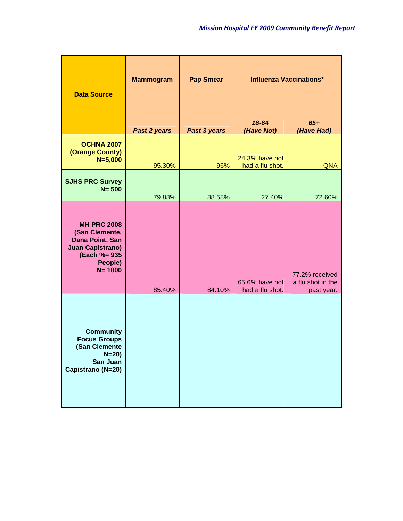| <b>Data Source</b>                                                                                                          | <b>Mammogram</b> | <b>Pap Smear</b> | <b>Influenza Vaccinations*</b>    |                                                   |
|-----------------------------------------------------------------------------------------------------------------------------|------------------|------------------|-----------------------------------|---------------------------------------------------|
|                                                                                                                             | Past 2 years     | Past 3 years     | 18-64<br>(Have Not)               | $65+$<br>(Have Had)                               |
| <b>OCHNA 2007</b><br>(Orange County)<br>$N=5,000$                                                                           | 95.30%           | 96%              | 24.3% have not<br>had a flu shot. | <b>QNA</b>                                        |
| <b>SJHS PRC Survey</b><br>$N = 500$                                                                                         | 79.88%           | 88.58%           | 27.40%                            | 72.60%                                            |
| <b>MH PRC 2008</b><br>(San Clemente,<br>Dana Point, San<br><b>Juan Capistrano)</b><br>(Each %= 935<br>People)<br>$N = 1000$ | 85.40%           | 84.10%           | 65.6% have not<br>had a flu shot. | 77.2% received<br>a flu shot in the<br>past year. |
| <b>Community</b><br><b>Focus Groups</b><br>(San Clemente<br>$N=20$<br>San Juan<br>Capistrano (N=20)                         |                  |                  |                                   |                                                   |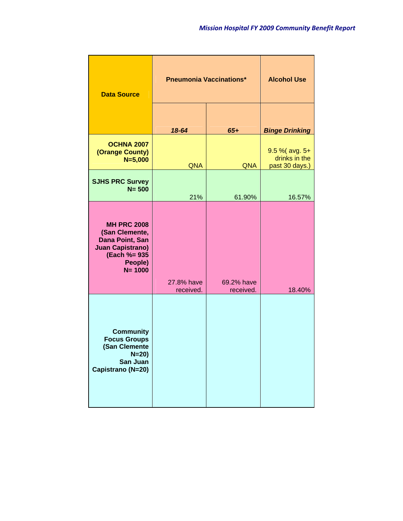| <b>Data Source</b>                                                                                                          | <b>Pneumonia Vaccinations*</b> | <b>Alcohol Use</b>      |                                                   |
|-----------------------------------------------------------------------------------------------------------------------------|--------------------------------|-------------------------|---------------------------------------------------|
|                                                                                                                             | 18-64                          | $65+$                   | <b>Binge Drinking</b>                             |
| <b>OCHNA 2007</b><br>(Orange County)<br>$N = 5,000$                                                                         | <b>QNA</b>                     | <b>QNA</b>              | 9.5 % (avg. 5+<br>drinks in the<br>past 30 days.) |
| <b>SJHS PRC Survey</b><br>$N = 500$                                                                                         | 21%                            | 61.90%                  | 16.57%                                            |
| <b>MH PRC 2008</b><br>(San Clemente,<br>Dana Point, San<br><b>Juan Capistrano)</b><br>(Each %= 935<br>People)<br>$N = 1000$ | 27.8% have<br>received.        | 69.2% have<br>received. | 18.40%                                            |
| <b>Community</b><br><b>Focus Groups</b><br>(San Clemente<br>$N = 20$<br>San Juan<br>Capistrano (N=20)                       |                                |                         |                                                   |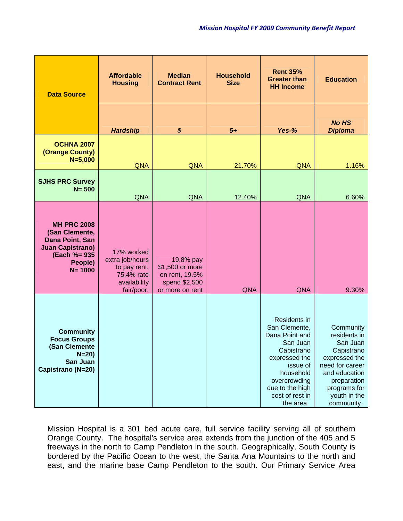| <b>Data Source</b>                                                                                                           | <b>Affordable</b><br><b>Housing</b>                                                       | <b>Median</b><br><b>Contract Rent</b>                                              | <b>Household</b><br><b>Size</b> | <b>Rent 35%</b><br><b>Greater than</b><br><b>HH Income</b>                                                                                                                             | <b>Education</b>                                                                                                                                                      |
|------------------------------------------------------------------------------------------------------------------------------|-------------------------------------------------------------------------------------------|------------------------------------------------------------------------------------|---------------------------------|----------------------------------------------------------------------------------------------------------------------------------------------------------------------------------------|-----------------------------------------------------------------------------------------------------------------------------------------------------------------------|
|                                                                                                                              | <b>Hardship</b>                                                                           | \$                                                                                 | $5+$                            | Yes-%                                                                                                                                                                                  | <b>No HS</b><br><b>Diploma</b>                                                                                                                                        |
| <b>OCHNA 2007</b><br>(Orange County)<br>$N = 5,000$                                                                          | <b>QNA</b>                                                                                | <b>QNA</b>                                                                         | 21.70%                          | <b>QNA</b>                                                                                                                                                                             | 1.16%                                                                                                                                                                 |
| <b>SJHS PRC Survey</b><br>$N = 500$                                                                                          | <b>QNA</b>                                                                                | <b>QNA</b>                                                                         | 12.40%                          | <b>QNA</b>                                                                                                                                                                             | 6.60%                                                                                                                                                                 |
| <b>MH PRC 2008</b><br>(San Clemente,<br>Dana Point, San<br><b>Juan Capistrano)</b><br>(Each %= 935)<br>People)<br>$N = 1000$ | 17% worked<br>extra job/hours<br>to pay rent.<br>75.4% rate<br>availability<br>fair/poor. | 19.8% pay<br>\$1,500 or more<br>on rent, 19.5%<br>spend \$2,500<br>or more on rent | <b>QNA</b>                      | <b>QNA</b>                                                                                                                                                                             | 9.30%                                                                                                                                                                 |
| <b>Community</b><br><b>Focus Groups</b><br>(San Clemente<br>$N = 20$<br>San Juan<br>Capistrano (N=20)                        |                                                                                           |                                                                                    |                                 | Residents in<br>San Clemente,<br>Dana Point and<br>San Juan<br>Capistrano<br>expressed the<br>issue of<br>household<br>overcrowding<br>due to the high<br>cost of rest in<br>the area. | Community<br>residents in<br>San Juan<br>Capistrano<br>expressed the<br>need for career<br>and education<br>preparation<br>programs for<br>youth in the<br>community. |

Mission Hospital is a 301 bed acute care, full service facility serving all of southern Orange County. The hospital's service area extends from the junction of the 405 and 5 freeways in the north to Camp Pendleton in the south. Geographically, South County is bordered by the Pacific Ocean to the west, the Santa Ana Mountains to the north and east, and the marine base Camp Pendleton to the south. Our Primary Service Area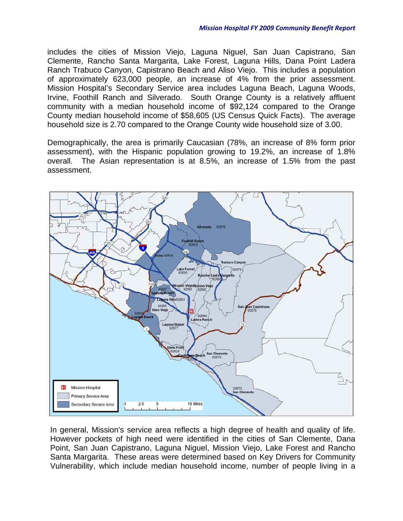includes the cities of Mission Viejo, Laguna Niguel, San Juan Capistrano, San Clemente, Rancho Santa Margarita, Lake Forest, Laguna Hills, Dana Point Ladera Ranch Trabuco Canyon, Capistrano Beach and Aliso Viejo. This includes a population of approximately 623,000 people, an increase of 4% from the prior assessment. Mission Hospital's Secondary Service area includes Laguna Beach, Laguna Woods, Irvine, Foothill Ranch and Silverado. South Orange County is a relatively affluent community with a median household income of \$92,124 compared to the Orange County median household income of \$58,605 (US Census Quick Facts). The average household size is 2.70 compared to the Orange County wide household size of 3.00.

Demographically, the area is primarily Caucasian (78%, an increase of 8% form prior assessment), with the Hispanic population growing to 19.2%, an increase of 1.8% overall. The Asian representation is at 8.5%, an increase of 1.5% from the past assessment.



In general, Mission's service area reflects a high degree of health and quality of life. However pockets of high need were identified in the cities of San Clemente, Dana Point, San Juan Capistrano, Laguna Niguel, Mission Viejo, Lake Forest and Rancho Santa Margarita. These areas were determined based on Key Drivers for Community Vulnerability, which include median household income, number of people living in a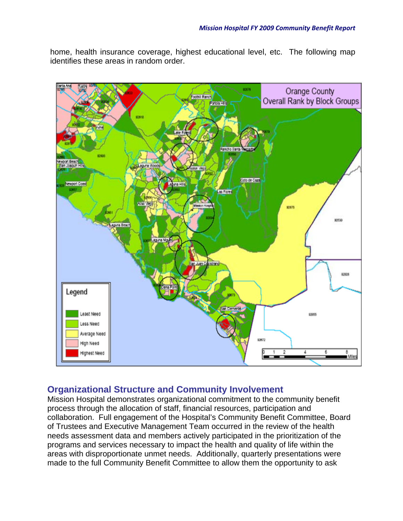home, health insurance coverage, highest educational level, etc. The following map identifies these areas in random order.



## **Organizational Structure and Community Involvement**

Mission Hospital demonstrates organizational commitment to the community benefit process through the allocation of staff, financial resources, participation and collaboration. Full engagement of the Hospital's Community Benefit Committee, Board of Trustees and Executive Management Team occurred in the review of the health needs assessment data and members actively participated in the prioritization of the programs and services necessary to impact the health and quality of life within the areas with disproportionate unmet needs. Additionally, quarterly presentations were made to the full Community Benefit Committee to allow them the opportunity to ask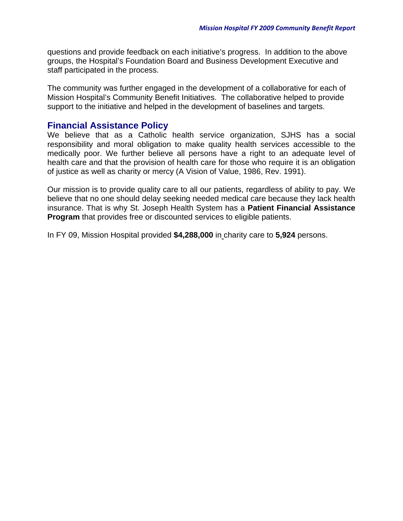questions and provide feedback on each initiative's progress. In addition to the above groups, the Hospital's Foundation Board and Business Development Executive and staff participated in the process.

The community was further engaged in the development of a collaborative for each of Mission Hospital's Community Benefit Initiatives. The collaborative helped to provide support to the initiative and helped in the development of baselines and targets.

## **Financial Assistance Policy**

We believe that as a Catholic health service organization, SJHS has a social responsibility and moral obligation to make quality health services accessible to the medically poor. We further believe all persons have a right to an adequate level of health care and that the provision of health care for those who require it is an obligation of justice as well as charity or mercy (A Vision of Value, 1986, Rev. 1991).

Our mission is to provide quality care to all our patients, regardless of ability to pay. We believe that no one should delay seeking needed medical care because they lack health insurance. That is why St. Joseph Health System has a **Patient Financial Assistance Program** that provides free or discounted services to eligible patients.

In FY 09, Mission Hospital provided **\$4,288,000** in charity care to **5,924** persons.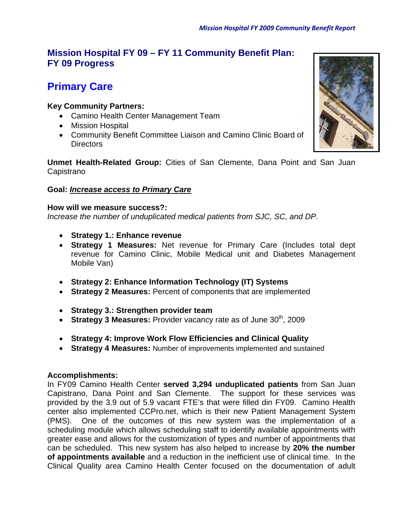## **Mission Hospital FY 09 – FY 11 Community Benefit Plan: FY 09 Progress**

# **Primary Care**

## **Key Community Partners:**

- Camino Health Center Management Team
- Mission Hospital
- Community Benefit Committee Liaison and Camino Clinic Board of Directors

**Unmet Health-Related Group:** Cities of San Clemente, Dana Point and San Juan **Capistrano** 

## **Goal:** *Increase access to Primary Care*

## **How will we measure success?:**

*Increase the number of unduplicated medical patients from SJC, SC, and DP.* 

- **Strategy 1.: Enhance revenue**
- **Strategy 1 Measures:** Net revenue for Primary Care (Includes total dept revenue for Camino Clinic, Mobile Medical unit and Diabetes Management Mobile Van)
- **Strategy 2: Enhance Information Technology (IT) Systems**
- **Strategy 2 Measures:** Percent of components that are implemented
- **Strategy 3.: Strengthen provider team**
- **Strategy 3 Measures:** Provider vacancy rate as of June 30<sup>th</sup>, 2009
- **Strategy 4: Improve Work Flow Efficiencies and Clinical Quality**
- **Strategy 4 Measures:** Number of improvements implemented and sustained

#### **Accomplishments:**

In FY09 Camino Health Center **served 3,294 unduplicated patients** from San Juan Capistrano, Dana Point and San Clemente. The support for these services was provided by the 3.9 out of 5.9 vacant FTE's that were filled din FY09. Camino Health center also implemented CCPro.net, which is their new Patient Management System (PMS). One of the outcomes of this new system was the implementation of a scheduling module which allows scheduling staff to identify available appointments with greater ease and allows for the customization of types and number of appointments that can be scheduled. This new system has also helped to increase by **20% the number of appointments available** and a reduction in the inefficient use of clinical time. In the Clinical Quality area Camino Health Center focused on the documentation of adult

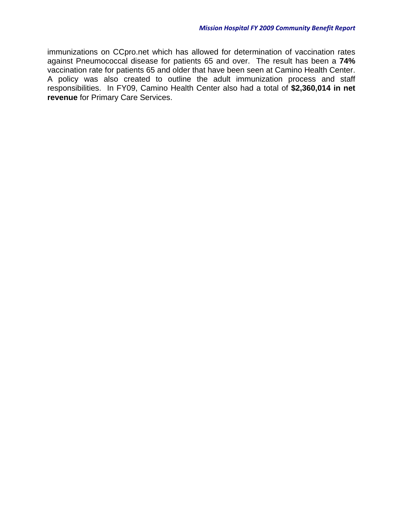immunizations on CCpro.net which has allowed for determination of vaccination rates against Pneumococcal disease for patients 65 and over. The result has been a **74%** vaccination rate for patients 65 and older that have been seen at Camino Health Center. A policy was also created to outline the adult immunization process and staff responsibilities. In FY09, Camino Health Center also had a total of **\$2,360,014 in net revenue** for Primary Care Services.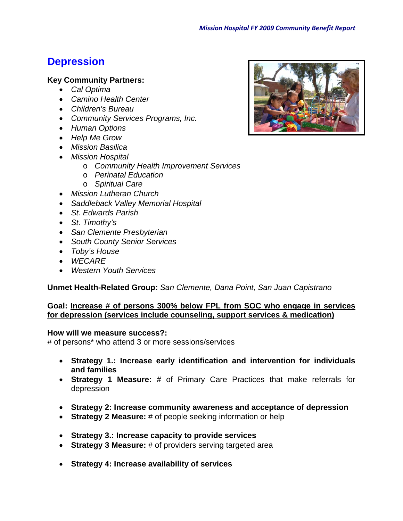# **Depression**

#### **Key Community Partners:**

- *Cal Optima*
- *Camino Health Center*
- *Children's Bureau*
- *Community Services Programs, Inc.*
- *Human Options*
- *Help Me Grow*
- *Mission Basilica*
- *Mission Hospital* 
	- o *Community Health Improvement Services*
	- o *Perinatal Education*
	- o *Spiritual Care*
- *Mission Lutheran Church*
- *Saddleback Valley Memorial Hospital*
- *St. Edwards Parish*
- *St. Timothy's*
- *San Clemente Presbyterian*
- *South County Senior Services*
- *Toby's House*
- *WECARE*
- *Western Youth Services*

**Unmet Health-Related Group:** *San Clemente, Dana Point, San Juan Capistrano*

#### **Goal: Increase # of persons 300% below FPL from SOC who engage in services for depression (services include counseling, support services & medication)**

#### **How will we measure success?:**

# of persons\* who attend 3 or more sessions/services

- **Strategy 1.: Increase early identification and intervention for individuals and families**
- **Strategy 1 Measure:** # of Primary Care Practices that make referrals for depression
- **Strategy 2: Increase community awareness and acceptance of depression**
- **Strategy 2 Measure:** # of people seeking information or help
- **Strategy 3.: Increase capacity to provide services**
- **Strategy 3 Measure:** # of providers serving targeted area
- **Strategy 4: Increase availability of services**

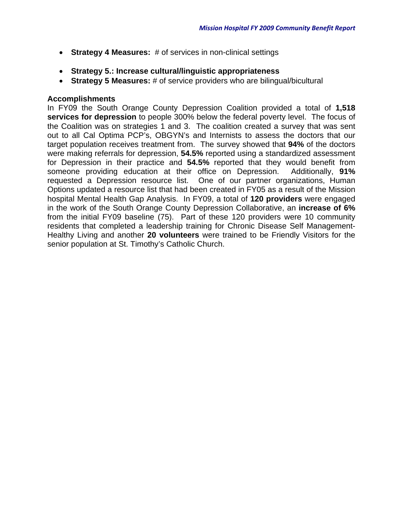- **Strategy 4 Measures:** # of services in non-clinical settings
- **Strategy 5.: Increase cultural/linguistic appropriateness**
- **Strategy 5 Measures:** # of service providers who are bilingual/bicultural

## **Accomplishments**

In FY09 the South Orange County Depression Coalition provided a total of **1,518 services for depression** to people 300% below the federal poverty level. The focus of the Coalition was on strategies 1 and 3. The coalition created a survey that was sent out to all Cal Optima PCP's, OBGYN's and Internists to assess the doctors that our target population receives treatment from. The survey showed that **94%** of the doctors were making referrals for depression, **54.5%** reported using a standardized assessment for Depression in their practice and **54.5%** reported that they would benefit from someone providing education at their office on Depression. Additionally, **91%** requested a Depression resource list. One of our partner organizations, Human Options updated a resource list that had been created in FY05 as a result of the Mission hospital Mental Health Gap Analysis. In FY09, a total of **120 providers** were engaged in the work of the South Orange County Depression Collaborative, an **increase of 6%** from the initial FY09 baseline (75). Part of these 120 providers were 10 community residents that completed a leadership training for Chronic Disease Self Management-Healthy Living and another **20 volunteers** were trained to be Friendly Visitors for the senior population at St. Timothy's Catholic Church.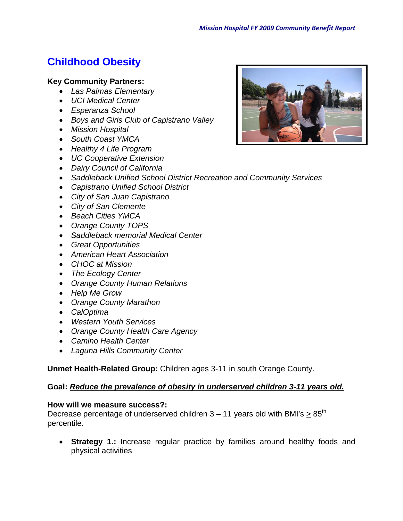# **Childhood Obesity**

## **Key Community Partners:**

- *Las Palmas Elementary*
- *UCI Medical Center*
- *Esperanza School*
- *Boys and Girls Club of Capistrano Valley*
- *Mission Hospital*
- *South Coast YMCA*
- *Healthy 4 Life Program*
- *UC Cooperative Extension*
- *Dairy Council of California*
- *Saddleback Unified School District Recreation and Community Services*
- *Capistrano Unified School District*
- *City of San Juan Capistrano*
- *City of San Clemente*
- *Beach Cities YMCA*
- *Orange County TOPS*
- *Saddleback memorial Medical Center*
- *Great Opportunities*
- *American Heart Association*
- *CHOC at Mission*
- *The Ecology Center*
- *Orange County Human Relations*
- *Help Me Grow*
- *Orange County Marathon*
- *CalOptima*
- *Western Youth Services*
- *Orange County Health Care Agency*
- *Camino Health Center*
- *Laguna Hills Community Center*

**Unmet Health-Related Group:** Children ages 3-11 in south Orange County.

## **Goal:** *Reduce the prevalence of obesity in underserved children 3-11 years old.*

## **How will we measure success?:**

Decrease percentage of underserved children  $3 - 11$  years old with BMI's  $> 85<sup>th</sup>$ percentile.

 **Strategy 1.:** Increase regular practice by families around healthy foods and physical activities

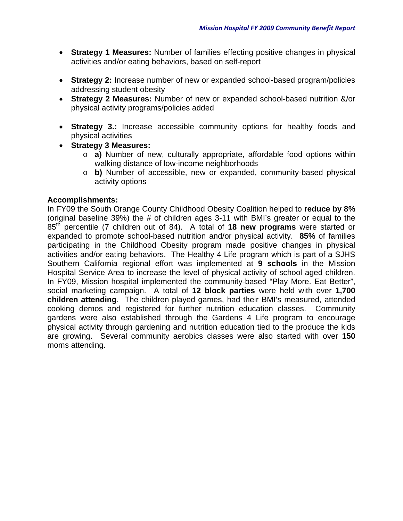- **Strategy 1 Measures:** Number of families effecting positive changes in physical activities and/or eating behaviors, based on self-report
- **Strategy 2:** Increase number of new or expanded school-based program/policies addressing student obesity
- **Strategy 2 Measures:** Number of new or expanded school-based nutrition &/or physical activity programs/policies added
- **Strategy 3.:** Increase accessible community options for healthy foods and physical activities
- **Strategy 3 Measures:** 
	- o **a)** Number of new, culturally appropriate, affordable food options within walking distance of low-income neighborhoods
	- o **b)** Number of accessible, new or expanded, community-based physical activity options

## **Accomplishments:**

In FY09 the South Orange County Childhood Obesity Coalition helped to **reduce by 8%** (original baseline 39%) the # of children ages 3-11 with BMI's greater or equal to the 85th percentile (7 children out of 84). A total of **18 new programs** were started or expanded to promote school-based nutrition and/or physical activity. **85%** of families participating in the Childhood Obesity program made positive changes in physical activities and/or eating behaviors. The Healthy 4 Life program which is part of a SJHS Southern California regional effort was implemented at **9 schools** in the Mission Hospital Service Area to increase the level of physical activity of school aged children. In FY09, Mission hospital implemented the community-based "Play More. Eat Better", social marketing campaign. A total of **12 block parties** were held with over **1,700 children attending**. The children played games, had their BMI's measured, attended cooking demos and registered for further nutrition education classes. Community gardens were also established through the Gardens 4 Life program to encourage physical activity through gardening and nutrition education tied to the produce the kids are growing. Several community aerobics classes were also started with over **150** moms attending.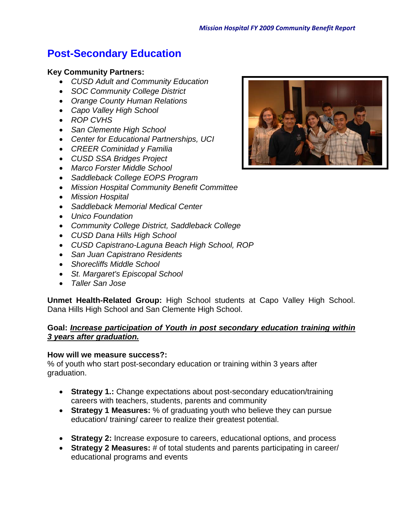# **Post-Secondary Education**

## **Key Community Partners:**

- *CUSD Adult and Community Education*
- *SOC Community College District*
- *Orange County Human Relations*
- *Capo Valley High School*
- *ROP CVHS*
- *San Clemente High School*
- *Center for Educational Partnerships, UCI*
- *CREER Cominidad y Familia*
- *CUSD SSA Bridges Project*
- *Marco Forster Middle School*
- *Saddleback College EOPS Program*
- *Mission Hospital Community Benefit Committee*
- *Mission Hospital*
- *Saddleback Memorial Medical Center*
- *Unico Foundation*
- *Community College District, Saddleback College*
- *CUSD Dana Hills High School*
- *CUSD Capistrano-Laguna Beach High School, ROP*
- *San Juan Capistrano Residents*
- *Shorecliffs Middle School*
- *St. Margaret's Episcopal School*
- *Taller San Jose*

**Unmet Health-Related Group:** High School students at Capo Valley High School. Dana Hills High School and San Clemente High School.

## **Goal:** *Increase participation of Youth in post secondary education training within 3 years after graduation.*

#### **How will we measure success?:**

% of youth who start post-secondary education or training within 3 years after graduation.

- **Strategy 1.:** Change expectations about post-secondary education/training careers with teachers, students, parents and community
- **Strategy 1 Measures:** % of graduating youth who believe they can pursue education/ training/ career to realize their greatest potential.
- **Strategy 2:** Increase exposure to careers, educational options, and process
- **Strategy 2 Measures:** # of total students and parents participating in career/ educational programs and events

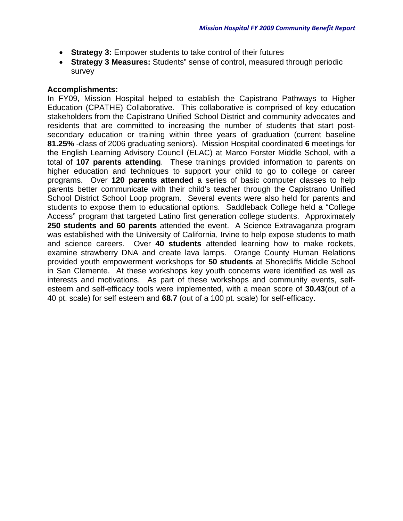- **Strategy 3:** Empower students to take control of their futures
- **Strategy 3 Measures:** Students" sense of control, measured through periodic survey

## **Accomplishments:**

In FY09, Mission Hospital helped to establish the Capistrano Pathways to Higher Education (CPATHE) Collaborative. This collaborative is comprised of key education stakeholders from the Capistrano Unified School District and community advocates and residents that are committed to increasing the number of students that start postsecondary education or training within three years of graduation (current baseline **81.25%** -class of 2006 graduating seniors). Mission Hospital coordinated **6** meetings for the English Learning Advisory Council (ELAC) at Marco Forster Middle School, with a total of **107 parents attending**. These trainings provided information to parents on higher education and techniques to support your child to go to college or career programs. Over **120 parents attended** a series of basic computer classes to help parents better communicate with their child's teacher through the Capistrano Unified School District School Loop program. Several events were also held for parents and students to expose them to educational options. Saddleback College held a "College Access" program that targeted Latino first generation college students. Approximately **250 students and 60 parents** attended the event. A Science Extravaganza program was established with the University of California, Irvine to help expose students to math and science careers. Over **40 students** attended learning how to make rockets, examine strawberry DNA and create lava lamps. Orange County Human Relations provided youth empowerment workshops for **50 students** at Shorecliffs Middle School in San Clemente. At these workshops key youth concerns were identified as well as interests and motivations. As part of these workshops and community events, selfesteem and self-efficacy tools were implemented, with a mean score of **30.43**(out of a 40 pt. scale) for self esteem and **68.7** (out of a 100 pt. scale) for self-efficacy.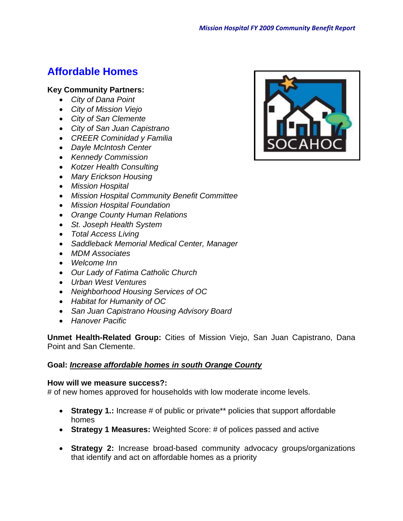# **Affordable Homes**

## **Key Community Partners:**

- *City of Dana Point*
- *City of Mission Viejo*
- *City of San Clemente*
- *City of San Juan Capistrano*
- *CREER Cominidad y Familia*
- *Dayle McIntosh Center*
- *Kennedy Commission*
- *Kotzer Health Consulting*
- *Mary Erickson Housing*
- *Mission Hospital*
- *Mission Hospital Community Benefit Committee*
- *Mission Hospital Foundation*
- *Orange County Human Relations*
- *St. Joseph Health System*
- *Total Access Living*
- *Saddleback Memorial Medical Center, Manager*
- *MDM Associates*
- *Welcome Inn*
- *Our Lady of Fatima Catholic Church*
- *Urban West Ventures*
- *Neighborhood Housing Services of OC*
- *Habitat for Humanity of OC*
- *San Juan Capistrano Housing Advisory Board*
- *Hanover Pacific*

**Unmet Health-Related Group:** Cities of Mission Viejo, San Juan Capistrano, Dana Point and San Clemente.

## **Goal:** *Increase affordable homes in south Orange County*

#### **How will we measure success?:**

# of new homes approved for households with low moderate income levels.

- **Strategy 1.:** Increase # of public or private<sup>\*\*</sup> policies that support affordable homes
- **Strategy 1 Measures:** Weighted Score: # of polices passed and active
- **Strategy 2:** Increase broad-based community advocacy groups/organizations that identify and act on affordable homes as a priority

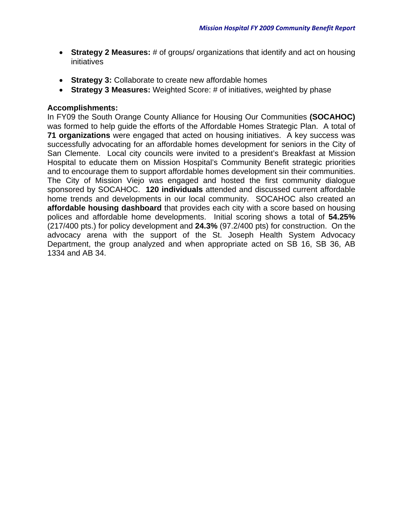- **Strategy 2 Measures:** # of groups/ organizations that identify and act on housing initiatives
- **Strategy 3:** Collaborate to create new affordable homes
- **Strategy 3 Measures:** Weighted Score: # of initiatives, weighted by phase

## **Accomplishments:**

In FY09 the South Orange County Alliance for Housing Our Communities **(SOCAHOC)** was formed to help guide the efforts of the Affordable Homes Strategic Plan. A total of **71 organizations** were engaged that acted on housing initiatives. A key success was successfully advocating for an affordable homes development for seniors in the City of San Clemente. Local city councils were invited to a president's Breakfast at Mission Hospital to educate them on Mission Hospital's Community Benefit strategic priorities and to encourage them to support affordable homes development sin their communities. The City of Mission Viejo was engaged and hosted the first community dialogue sponsored by SOCAHOC. **120 individuals** attended and discussed current affordable home trends and developments in our local community. SOCAHOC also created an **affordable housing dashboard** that provides each city with a score based on housing polices and affordable home developments. Initial scoring shows a total of **54.25%** (217/400 pts.) for policy development and **24.3%** (97.2/400 pts) for construction. On the advocacy arena with the support of the St. Joseph Health System Advocacy Department, the group analyzed and when appropriate acted on SB 16, SB 36, AB 1334 and AB 34.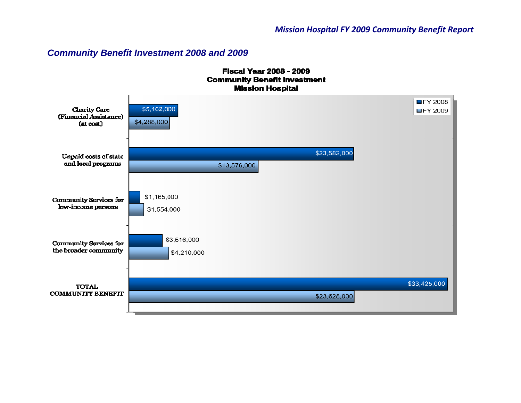## *Community Benefit Investment 2008 and 2009*

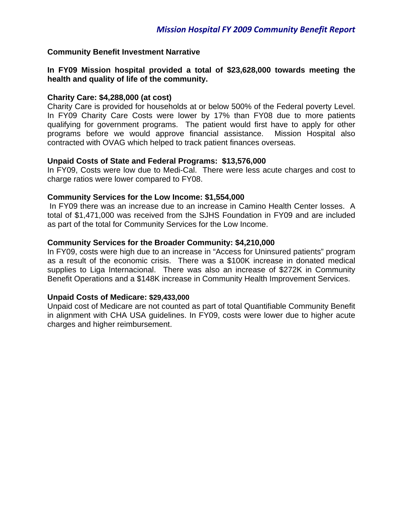#### **Community Benefit Investment Narrative**

**In FY09 Mission hospital provided a total of \$23,628,000 towards meeting the health and quality of life of the community.**

#### **Charity Care: \$4,288,000 (at cost)**

Charity Care is provided for households at or below 500% of the Federal poverty Level. In FY09 Charity Care Costs were lower by 17% than FY08 due to more patients qualifying for government programs. The patient would first have to apply for other programs before we would approve financial assistance. Mission Hospital also contracted with OVAG which helped to track patient finances overseas.

#### **Unpaid Costs of State and Federal Programs: \$13,576,000**

In FY09, Costs were low due to Medi-Cal. There were less acute charges and cost to charge ratios were lower compared to FY08.

#### **Community Services for the Low Income: \$1,554,000**

 In FY09 there was an increase due to an increase in Camino Health Center losses. A total of \$1,471,000 was received from the SJHS Foundation in FY09 and are included as part of the total for Community Services for the Low Income.

#### **Community Services for the Broader Community: \$4,210,000**

In FY09, costs were high due to an increase in "Access for Uninsured patients" program as a result of the economic crisis. There was a \$100K increase in donated medical supplies to Liga Internacional. There was also an increase of \$272K in Community Benefit Operations and a \$148K increase in Community Health Improvement Services.

#### **Unpaid Costs of Medicare: \$29,433,000**

Unpaid cost of Medicare are not counted as part of total Quantifiable Community Benefit in alignment with CHA USA guidelines. In FY09, costs were lower due to higher acute charges and higher reimbursement.